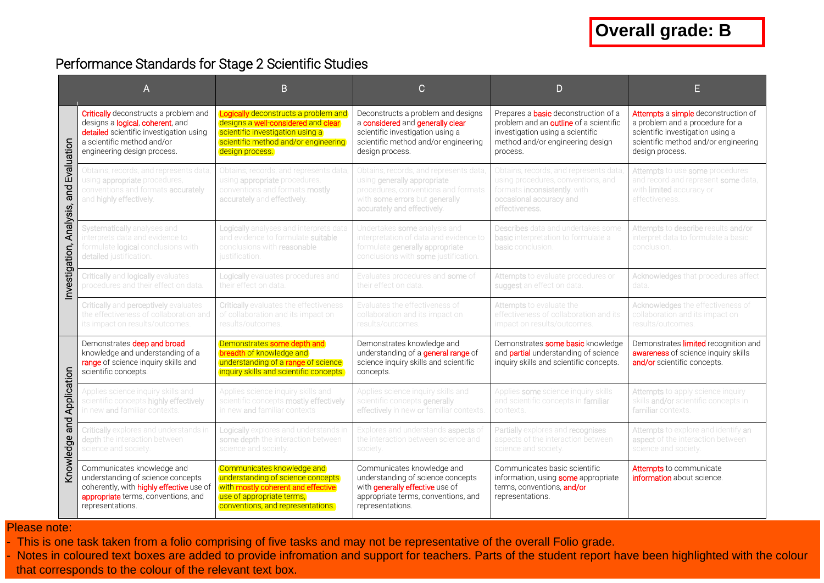# Performance Standards for Stage 2 Scientific Studies

|                                           | A                                                                                                                                                                                        | B                                                                                                                                                                          | $\mathsf C$                                                                                                                                                                   | D                                                                                                                                                                                | E.                                                                                                                                                                    |
|-------------------------------------------|------------------------------------------------------------------------------------------------------------------------------------------------------------------------------------------|----------------------------------------------------------------------------------------------------------------------------------------------------------------------------|-------------------------------------------------------------------------------------------------------------------------------------------------------------------------------|----------------------------------------------------------------------------------------------------------------------------------------------------------------------------------|-----------------------------------------------------------------------------------------------------------------------------------------------------------------------|
| Evaluation                                | <b>Critically</b> deconstructs a problem and<br>designs a logical, coherent, and<br>detailed scientific investigation using<br>a scientific method and/or<br>engineering design process. | Logically deconstructs a problem and<br>designs a well-considered and clear<br>scientific investigation using a<br>scientific method and/or engineering<br>design process. | Deconstructs a problem and designs<br>a considered and generally clear<br>scientific investigation using a<br>scientific method and/or engineering<br>design process.         | Prepares a <b>basic</b> deconstruction of a<br>problem and an <b>outline</b> of a scientific<br>investigation using a scientific<br>method and/or engineering design<br>process. | Attempts a simple deconstruction of<br>a problem and a procedure for a<br>scientific investigation using a<br>scientific method and/or engineering<br>design process. |
| <b>Due</b><br>Analysis,<br>Investigation, | Obtains, records, and represents data,<br>using appropriate procedures,<br>conventions and formats accurately<br>and highly effectively.                                                 | Obtains, records, and represents data<br>using appropriate procedures,<br>conventions and formats mostly<br>accurately and effectively.                                    | Obtains, records, and represents data,<br>using generally appropriate<br>procedures, conventions and formats<br>with some errors but generally<br>accurately and effectively. | Obtains, records, and represents data,<br>using procedures, conventions, and<br>formats inconsistently, with<br>occasional accuracy and<br>effectiveness.                        | Attempts to use some procedures<br>and record and represent some data,<br>with limited accuracy or<br>effectiveness.                                                  |
|                                           | Systematically analyses and<br>interprets data and evidence to<br>formulate logical conclusions with<br>detailed justification.                                                          | Logically analyses and interprets data<br>and evidence to formulate suitable<br>conclusions with reasonable<br>justification.                                              | Undertakes some analysis and<br>interpretation of data and evidence to<br>formulate generally appropriate<br>conclusions with some justification.                             | Describes data and undertakes some<br><b>basic</b> interpretation to formulate a<br>basic conclusion.                                                                            | Attempts to describe results and/or<br>interpret data to formulate a basic<br>conclusion.                                                                             |
|                                           | Critically and logically evaluates<br>procedures and their effect on data.                                                                                                               | Logically evaluates procedures and<br>their effect on data.                                                                                                                | Evaluates procedures and some of<br>their effect on data.                                                                                                                     | Attempts to evaluate procedures or<br>suggest an effect on data.                                                                                                                 | Acknowledges that procedures affect<br>data.                                                                                                                          |
|                                           | Critically and perceptively evaluates<br>the effectiveness of collaboration and<br>its impact on results/outcomes.                                                                       | <b>Critically</b> evaluates the effectiveness<br>of collaboration and its impact on<br>results/outcomes.                                                                   | Evaluates the effectiveness of<br>collaboration and its impact on<br>results/outcomes.                                                                                        | Attempts to evaluate the<br>effectiveness of collaboration and its<br>impact on results/outcomes.                                                                                | Acknowledges the effectiveness of<br>collaboration and its impact on<br>results/outcomes.                                                                             |
| Application<br>and.<br>vledge<br>Know     | Demonstrates deep and broad<br>knowledge and understanding of a<br>range of science inquiry skills and<br>scientific concepts.                                                           | Demonstrates some depth and<br><b>breadth of knowledge and</b><br>understanding of a range of science<br>inquiry skills and scientific concepts.                           | Demonstrates knowledge and<br>understanding of a <b>general range</b> of<br>science inquiry skills and scientific<br>concepts.                                                | Demonstrates some basic knowledge<br>and <b>partial</b> understanding of science<br>inquiry skills and scientific concepts.                                                      | Demonstrates limited recognition and<br>awareness of science inquiry skills<br>and/or scientific concepts.                                                            |
|                                           | Applies science inquiry skills and<br>scientific concepts highly effectively<br>in new and familiar contexts.                                                                            | Applies science inquiry skills and<br>scientific concepts mostly effectively<br>in new and familiar contexts                                                               | Applies science inquiry skills and<br>scientific concepts generally<br>effectively in new or familiar contexts.                                                               | Applies some science inquiry skills<br>and scientific concepts in familiar<br>contexts.                                                                                          | <b>Attempts</b> to apply science inquiry<br>skills and/or scientific concepts in<br>familiar contexts.                                                                |
|                                           | Critically explores and understands in<br>depth the interaction between<br>science and society.                                                                                          | <b>Logically</b> explores and understands in<br>some depth the interaction between<br>science and society.                                                                 | Explores and understands aspects of<br>the interaction between science and<br>society.                                                                                        | Partially explores and recognises<br>aspects of the interaction between<br>science and society.                                                                                  | <b>Attempts</b> to explore and identify an<br>aspect of the interaction between<br>science and society.                                                               |
|                                           | Communicates knowledge and<br>understanding of science concepts<br>coherently, with highly effective use of<br>appropriate terms, conventions, and<br>representations.                   | Communicates knowledge and<br>understanding of science concepts<br>with mostly coherent and effective<br>use of appropriate terms,<br>conventions, and representations.    | Communicates knowledge and<br>understanding of science concepts<br>with <b>generally effective</b> use of<br>appropriate terms, conventions, and<br>representations.          | Communicates basic scientific<br>information, using some appropriate<br>terms, conventions, and/or<br>representations.                                                           | Attempts to communicate<br><b>information</b> about science.                                                                                                          |

## Please note:

- This is one task taken from a folio comprising of five tasks and may not be representative of the overall Folio grade.
- Notes in coloured text boxes are added to provide infromation and support for teachers. Parts of the student report have been highlighted with the colour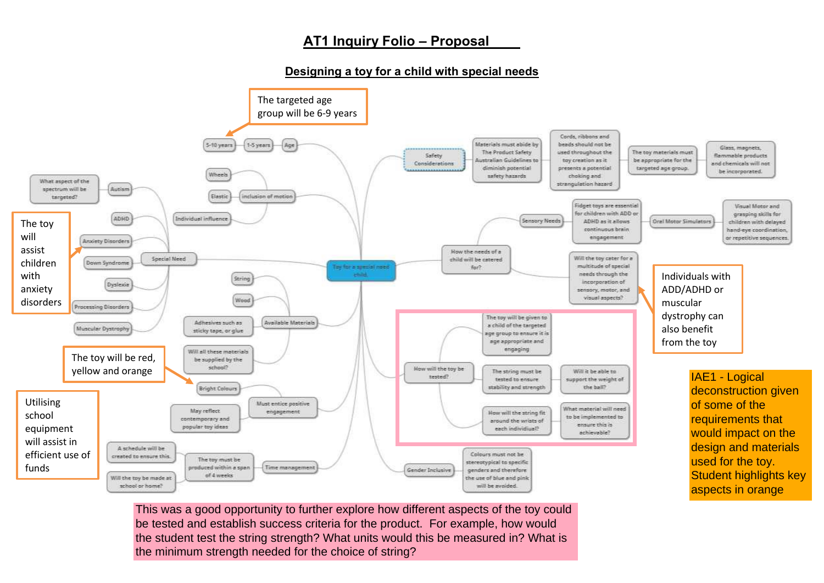## **AT1 Inquiry Folio – Proposal**

## **Designing a toy for a child with special needs**



This was a good opportunity to further explore how different aspects of the toy could be tested and establish success criteria for the product. For example, how would the student test the string strength? What units would this be measured in? What is the minimum strength needed for the choice of string?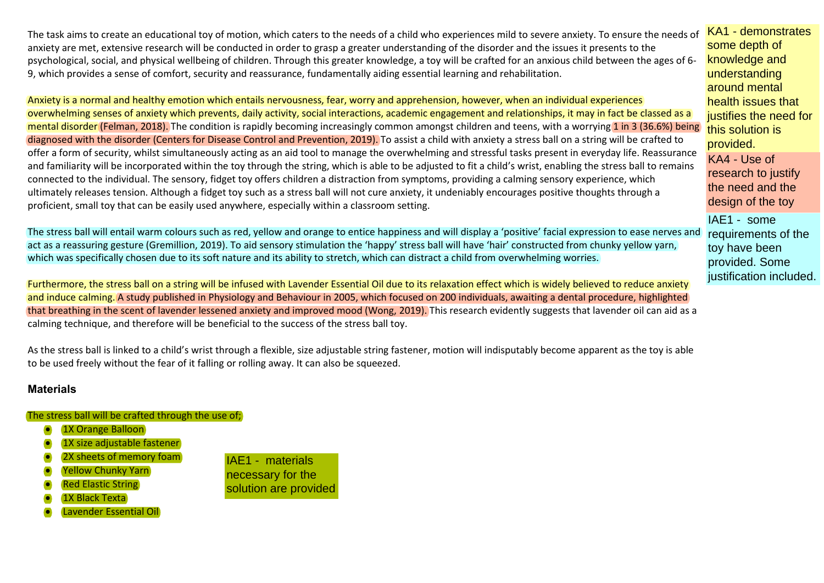The task aims to create an educational toy of motion, which caters to the needs of a child who experiences mild to severe anxiety. To ensure the needs of anxiety are met, extensive research will be conducted in order to grasp a greater understanding of the disorder and the issues it presents to the psychological, social, and physical wellbeing of children. Through this greater knowledge, a toy will be crafted for an anxious child between the ages of 6- 9, which provides a sense of comfort, security and reassurance, fundamentally aiding essential learning and rehabilitation. KA1 - demonstrates

Anxiety is a normal and healthy emotion which entails nervousness, fear, worry and apprehension, however, when an individual experiences overwhelming senses of anxiety which prevents, daily activity, social interactions, academic engagement and relationships, it may in fact be classed as a mental disorder (Felman, 2018). The condition is rapidly becoming increasingly common amongst children and teens, with a worrying 1 in 3 (36.6%) being diagnosed with the disorder (Centers for Disease Control and Prevention, 2019). To assist a child with anxiety a stress ball on a string will be crafted to offer a form of security, whilst simultaneously acting as an aid tool to manage the overwhelming and stressful tasks present in everyday life. Reassurance and familiarity will be incorporated within the toy through the string, which is able to be adjusted to fit a child's wrist, enabling the stress ball to remains connected to the individual. The sensory, fidget toy offers children a distraction from symptoms, providing a calming sensory experience, which ultimately releases tension. Although a fidget toy such as a stress ball will not cure anxiety, it undeniably encourages positive thoughts through a proficient, small toy that can be easily used anywhere, especially within a classroom setting.

The stress ball will entail warm colours such as red, yellow and orange to entice happiness and will display a 'positive' facial expression to ease nerves and act as a reassuring gesture (Gremillion, 2019). To aid sensory stimulation the 'happy' stress ball will have 'hair' constructed from chunky yellow yarn, which was specifically chosen due to its soft nature and its ability to stretch, which can distract a child from overwhelming worries.

Furthermore, the stress ball on a string will be infused with Lavender Essential Oil due to its relaxation effect which is widely believed to reduce anxiety and induce calming. A study published in Physiology and Behaviour in 2005, which focused on 200 individuals, awaiting a dental procedure, highlighted that breathing in the scent of lavender lessened anxiety and improved mood (Wong, 2019). This research evidently suggests that lavender oil can aid as a calming technique, and therefore will be beneficial to the success of the stress ball toy. stress ball will entail warm colours such as red, yellow and orange to entice happiness and will display a 'positive' facial expression to ease nerves and requirements<br>
as a reassuring gesture (Gremillon, 2019). To aid sen

As the stress ball is linked to a child's wrist through a flexible, size adjustable string fastener, motion will indisputably become apparent as the toy is able to be used freely without the fear of it falling or rolling away. It can also be squeezed.

### **Materials**

- The stress ball will be crafted through the use of;
	- 1X Orange Balloon
	- **1X size adjustable fastener**
	- 2X sheets of memory foam
	- **•** Yellow Chunky Yarn
	- Red Elastic String
	- **1X Black Texta**
	-

IAE1 - materials necessary for the solution are provided some depth of knowledge and understanding around mental health issues that justifies the need for this solution is provided. KA4 - Use of research to justify the need and the design of the toy

requirements of the toy have been provided. Some justification included.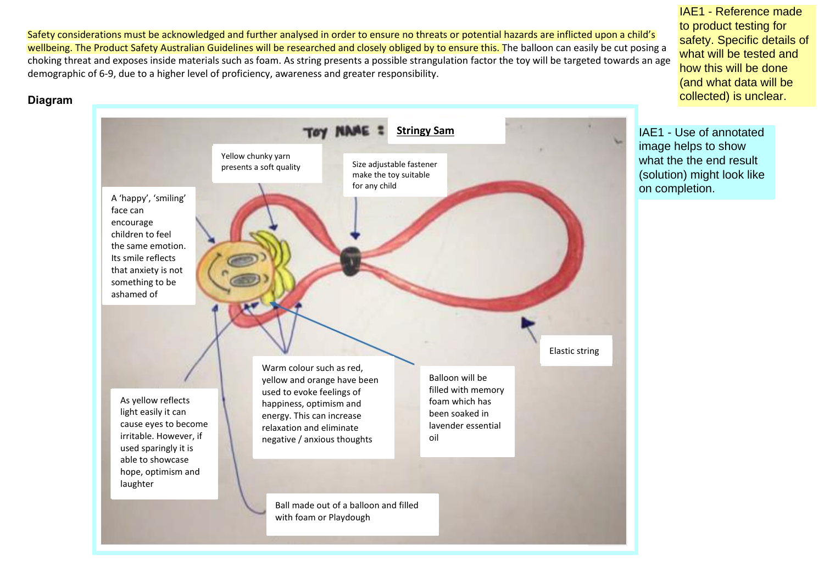Safety considerations must be acknowledged and further analysed in order to ensure no threats or potential hazards are inflicted upon a child's wellbeing. The Product Safety Australian Guidelines will be researched and closely obliged by to ensure this. The balloon can easily be cut posing a choking threat and exposes inside materials such as foam. As string presents a possible strangulation factor the toy will be targeted towards an age demographic of 6-9, due to a higher level of proficiency, awareness and greater responsibility.

## **Diagram**



IAE1 - Reference made to product testing for safety. Specific details of what will be tested and how this will be done (and what data will be collected) is unclear.

IAE1 - Use of annotated image helps to show what the the end result (solution) might look like on completion.